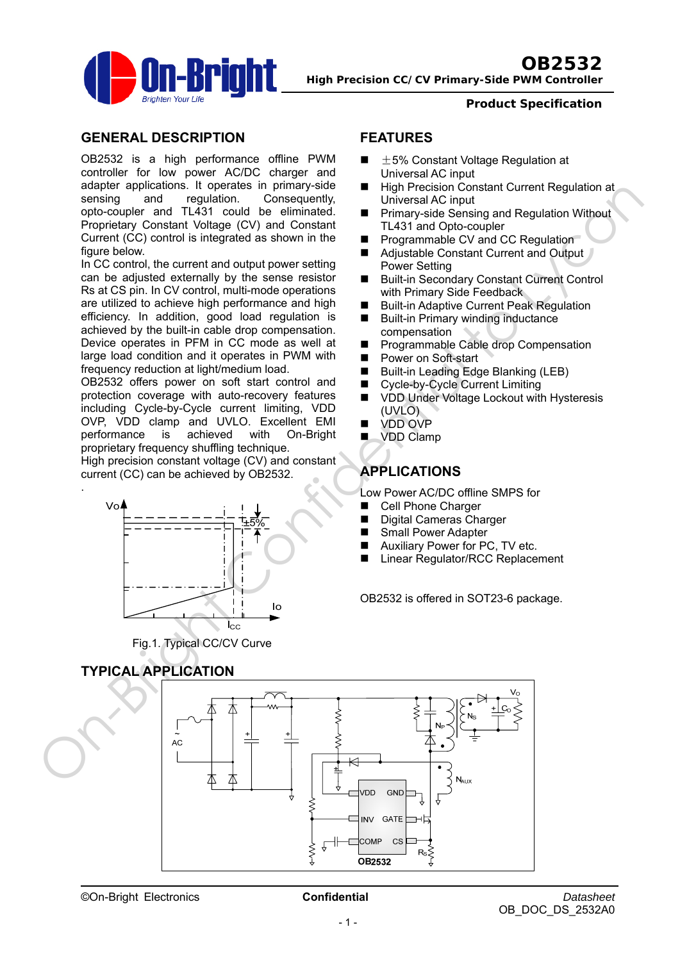

*Product Specification*

### **GENERAL DESCRIPTION**

OB2532 is a high performance offline PWM controller for low power AC/DC charger and adapter applications. It operates in primary-side sensing and regulation. Consequently, opto-coupler and TL431 could be eliminated. Proprietary Constant Voltage (CV) and Constant Current (CC) control is integrated as shown in the figure below.

In CC control, the current and output power setting can be adjusted externally by the sense resistor Rs at CS pin. In CV control, multi-mode operations are utilized to achieve high performance and high efficiency. In addition, good load regulation is achieved by the built-in cable drop compensation. Device operates in PFM in CC mode as well at large load condition and it operates in PWM with frequency reduction at light/medium load.

OB2532 offers power on soft start control and protection coverage with auto-recovery features including Cycle-by-Cycle current limiting, VDD OVP, VDD clamp and UVLO. Excellent EMI performance is achieved with On-Bright proprietary frequency shuffling technique.

High precision constant voltage (CV) and constant current (CC) can be achieved by OB2532.



Fig.1. Typical CC/CV Curve

## **FEATURES**

- $\pm$ 5% Constant Voltage Regulation at Universal AC input
- High Precision Constant Current Regulation at Universal AC input
- **Primary-side Sensing and Regulation Without** TL431 and Opto-coupler
- Programmable CV and CC Regulation
- Adjustable Constant Current and Output Power Setting
- Built-in Secondary Constant Current Control with Primary Side Feedback
- Built-in Adaptive Current Peak Regulation
- **Built-in Primary winding inductance** compensation
- **Programmable Cable drop Compensation**
- Power on Soft-start
- Built-in Leading Edge Blanking (LEB)
- Cycle-by-Cycle Current Limiting
- VDD Under Voltage Lockout with Hysteresis (UVLO)
- VDD OVP
- **U** VDD Clamp

# **APPLICATIONS**

Low Power AC/DC offline SMPS for

- Cell Phone Charger
- Digital Cameras Charger
- Small Power Adapter
- Auxiliary Power for PC, TV etc.
- Linear Regulator/RCC Replacement

OB2532 is offered in SOT23-6 package.

# **TYPICAL APPLICATION**

.

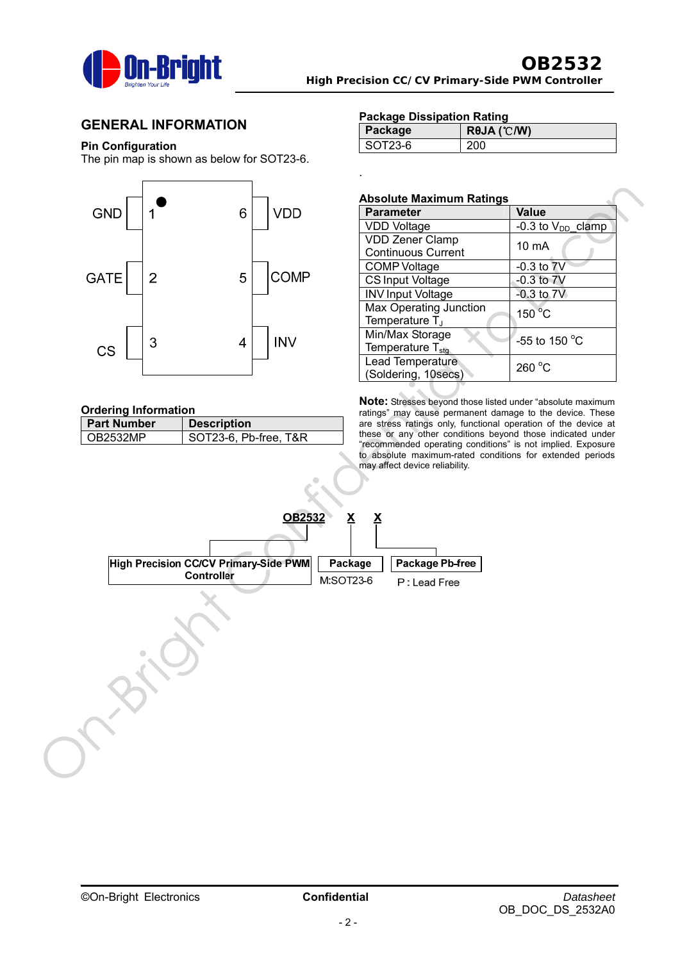

### **GENERAL INFORMATION**

### **Pin Configuration**

The pin map is shown as below for SOT23-6.



#### **Ordering Information**

| <b>Part Number</b> | <b>Description</b>    |  |  |  |  |
|--------------------|-----------------------|--|--|--|--|
| OB2532MP           | SOT23-6, Pb-free, T&R |  |  |  |  |

#### **Package Dissipation Rating**

| Package   | $R\theta$ JA (°C/W) |
|-----------|---------------------|
| $SOT23-6$ |                     |

#### **Absolute Maximum Ratings**

.

| <b>Parameter</b>                                     | <b>Value</b>           |
|------------------------------------------------------|------------------------|
| <b>VDD Voltage</b>                                   | -0.3 to $V_{DD}$ clamp |
| <b>VDD Zener Clamp</b><br><b>Continuous Current</b>  | 10 mA                  |
| <b>COMP Voltage</b>                                  | $-0.3$ to $7V$         |
| <b>CS Input Voltage</b>                              | $-0.3$ to $7V$         |
| <b>INV Input Voltage</b>                             | $-0.3$ to $7V$         |
| Max Operating Junction<br>Temperature T <sub>J</sub> | $150^{\circ}$ C        |
| Min/Max Storage<br>Temperature T <sub>stq</sub>      | $-55$ to 150 °C        |
| Lead Temperature<br>(Soldering, 10secs)              | 260 °C                 |

**Note:** Stresses beyond those listed under "absolute maximum ratings" may cause permanent damage to the device. These are stress ratings only, functional operation of the device at these or any other conditions beyond those indicated under "recommended operating conditions" is not implied. Exposure to absolute maximum-rated conditions for extended periods may affect device reliability.

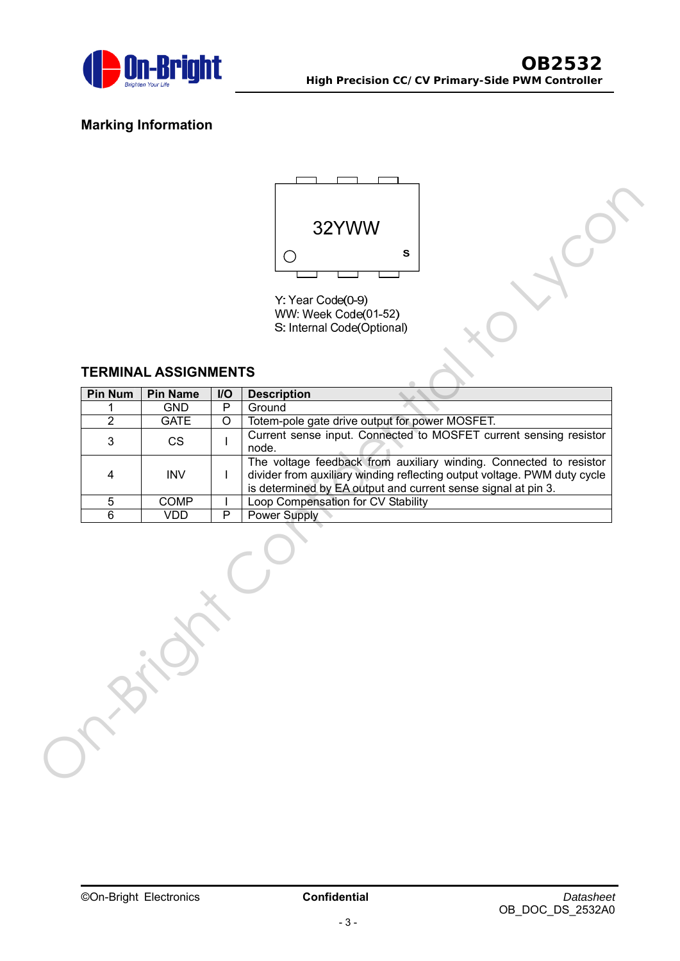

# **Marking Information**



### **TERMINAL ASSIGNMENTS**

|                |                             |              | 32YWW                                                                                                                                                                                                           |
|----------------|-----------------------------|--------------|-----------------------------------------------------------------------------------------------------------------------------------------------------------------------------------------------------------------|
|                |                             |              | S                                                                                                                                                                                                               |
|                |                             |              | Y: Year Code(0-9)<br>WW: Week Code(01-52)<br>S: Internal Code(Optional)                                                                                                                                         |
|                | <b>TERMINAL ASSIGNMENTS</b> |              |                                                                                                                                                                                                                 |
| <b>Pin Num</b> | <b>Pin Name</b>             | I/O          | <b>Description</b>                                                                                                                                                                                              |
| 1              | <b>GND</b>                  | $\mathsf{P}$ | Ground                                                                                                                                                                                                          |
| $\overline{2}$ | <b>GATE</b>                 | $\circ$      | Totem-pole gate drive output for power MOSFET.                                                                                                                                                                  |
| 3              | <b>CS</b>                   |              | Current sense input. Connected to MOSFET current sensing resistor<br>node.                                                                                                                                      |
| 4              | <b>INV</b>                  | $\mathbf{I}$ | The voltage feedback from auxiliary winding. Connected to resistor<br>divider from auxiliary winding reflecting output voltage. PWM duty cycle<br>is determined by EA output and current sense signal at pin 3. |
| 5              | COMP                        |              | Loop Compensation for CV Stability                                                                                                                                                                              |
|                |                             | P            |                                                                                                                                                                                                                 |
| $\overline{6}$ | <b>VDD</b>                  |              | <b>Power Supply</b>                                                                                                                                                                                             |
|                |                             |              |                                                                                                                                                                                                                 |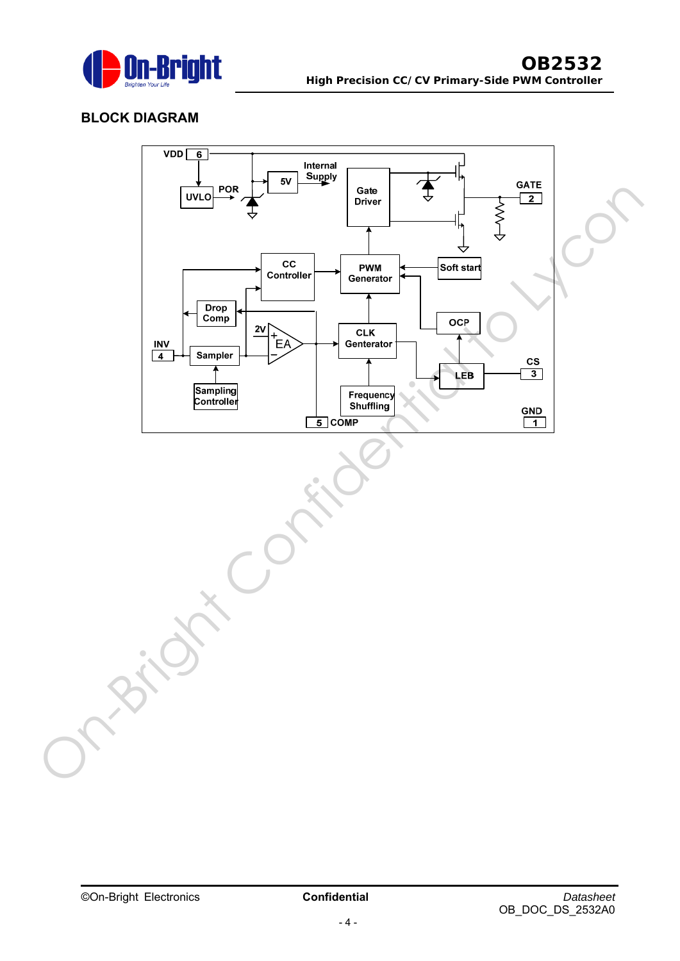

# **BLOCK DIAGRAM**

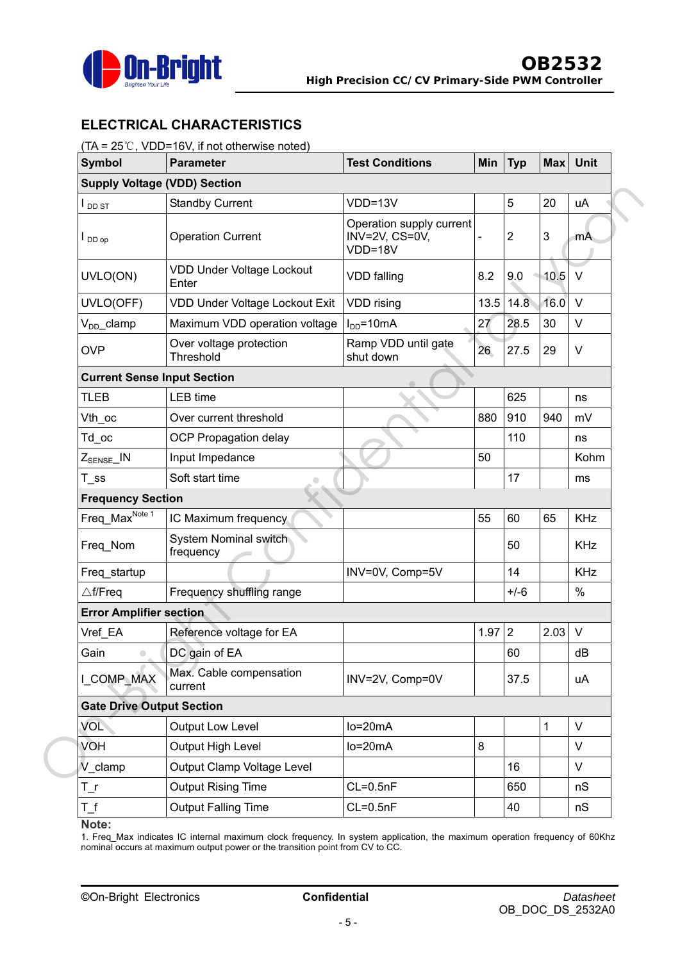

# **ELECTRICAL CHARACTERISTICS**

### (TA = 25℃, VDD=16V, if not otherwise noted)

| <b>Symbol</b>                                           | <b>Parameter</b>                          | <b>Test Conditions</b>                                | Min  | <b>Typ</b>     | <b>Max</b>   | Unit       |  |  |
|---------------------------------------------------------|-------------------------------------------|-------------------------------------------------------|------|----------------|--------------|------------|--|--|
| <b>Supply Voltage (VDD) Section</b>                     |                                           |                                                       |      |                |              |            |  |  |
| I <sub>DD ST</sub>                                      | <b>Standby Current</b>                    | $VDD=13V$                                             |      | 5              | 20           | uA         |  |  |
| $\mathsf{I}_{\mathsf{DDop}}$                            | <b>Operation Current</b>                  | Operation supply current<br>INV=2V, CS=0V,<br>VDD=18V |      | $\overline{c}$ | $\mathbf{3}$ | mA         |  |  |
| UVLO(ON)                                                | <b>VDD Under Voltage Lockout</b><br>Enter | <b>VDD</b> falling                                    | 8.2  | 9.0            | 10.5         | $\vee$     |  |  |
| UVLO(OFF)                                               | VDD Under Voltage Lockout Exit            | VDD rising                                            | 13.5 | 14.8           | 16.0         | $\vee$     |  |  |
| V <sub>DD</sub> _clamp<br>Maximum VDD operation voltage |                                           | $I_{DD} = 10mA$                                       | 27   | 28.5           | 30           | V          |  |  |
| <b>OVP</b>                                              | Over voltage protection<br>Threshold      | Ramp VDD until gate<br>shut down                      | 26   | 27.5           | 29           | V          |  |  |
| <b>Current Sense Input Section</b>                      |                                           |                                                       |      |                |              |            |  |  |
| <b>TLEB</b>                                             | <b>LEB</b> time                           |                                                       |      | 625            |              | ns         |  |  |
| Vth_oc                                                  | Over current threshold                    |                                                       | 880  | 910            | 940          | mV         |  |  |
| Td oc                                                   | <b>OCP Propagation delay</b>              |                                                       |      | 110            |              | ns         |  |  |
| $Z_{\text{SENSE}}$ IN                                   | Input Impedance                           |                                                       | 50   |                |              | Kohm       |  |  |
| $T$ _ss                                                 | Soft start time                           |                                                       |      | 17             |              | ms         |  |  |
| <b>Frequency Section</b>                                |                                           |                                                       |      |                |              |            |  |  |
| Freq_Max <sup>Note 1</sup>                              | IC Maximum frequency                      |                                                       | 55   | 60             | 65           | <b>KHz</b> |  |  |
| Freq_Nom                                                | <b>System Nominal switch</b><br>frequency |                                                       |      | 50             |              | <b>KHz</b> |  |  |
| Freq_startup                                            |                                           | INV=0V, Comp=5V                                       |      | 14             |              | <b>KHz</b> |  |  |
| $\triangle$ f/Freq                                      | Frequency shuffling range                 |                                                       |      | $+/-6$         |              | $\%$       |  |  |
| <b>Error Amplifier section</b>                          |                                           |                                                       |      |                |              |            |  |  |
| Vref EA                                                 | Reference voltage for EA                  |                                                       | 1.97 | $\overline{2}$ | 2.03         | $\vee$     |  |  |
| Gain<br>$\bullet$                                       | DC gain of EA                             |                                                       |      | 60             |              | dB         |  |  |
| I COMP MAX                                              | Max. Cable compensation<br>current        | INV=2V, Comp=0V                                       |      | 37.5           |              | uA         |  |  |
| <b>Gate Drive Output Section</b>                        |                                           |                                                       |      |                |              |            |  |  |
| <b>VOL</b>                                              | Output Low Level                          | $lo=20mA$                                             |      |                | $\mathbf 1$  | V          |  |  |
| <b>VOH</b>                                              | <b>Output High Level</b>                  | $lo=20mA$                                             | 8    |                |              | V          |  |  |
| V clamp<br>Output Clamp Voltage Level                   |                                           |                                                       |      | 16             |              | V          |  |  |
| $T\_r$                                                  | <b>Output Rising Time</b>                 | $CL=0.5nF$                                            |      | 650            |              | nS         |  |  |
| $T_f$                                                   | <b>Output Falling Time</b>                | $CL=0.5nF$                                            |      | 40             |              | nS         |  |  |

#### **Note:**

1. Freq\_Max indicates IC internal maximum clock frequency. In system application, the maximum operation frequency of 60Khz nominal occurs at maximum output power or the transition point from CV to CC.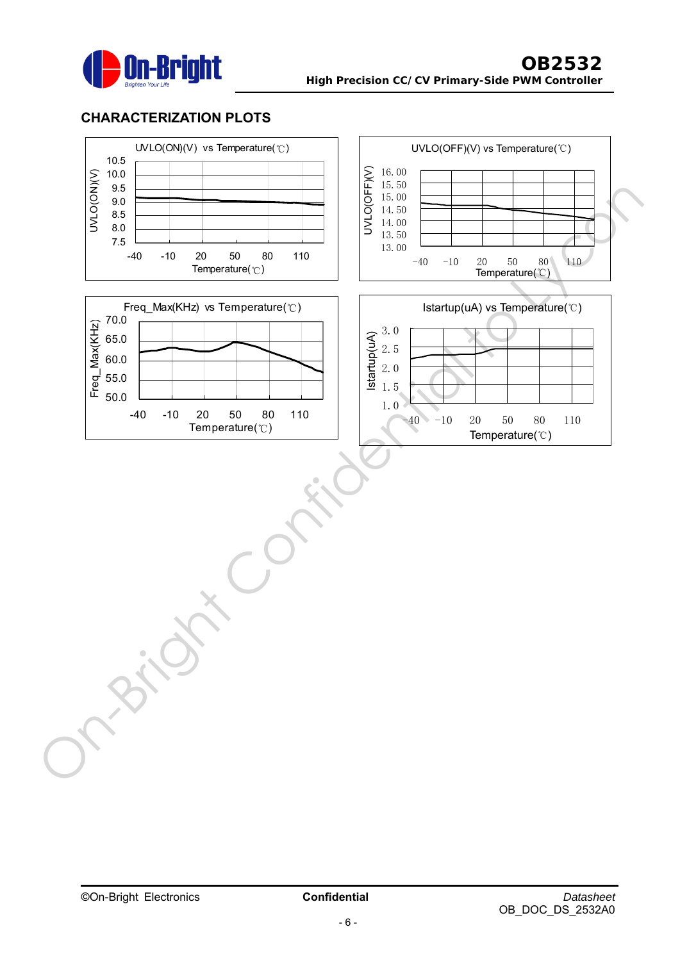

# **CHARACTERIZATION PLOTS**

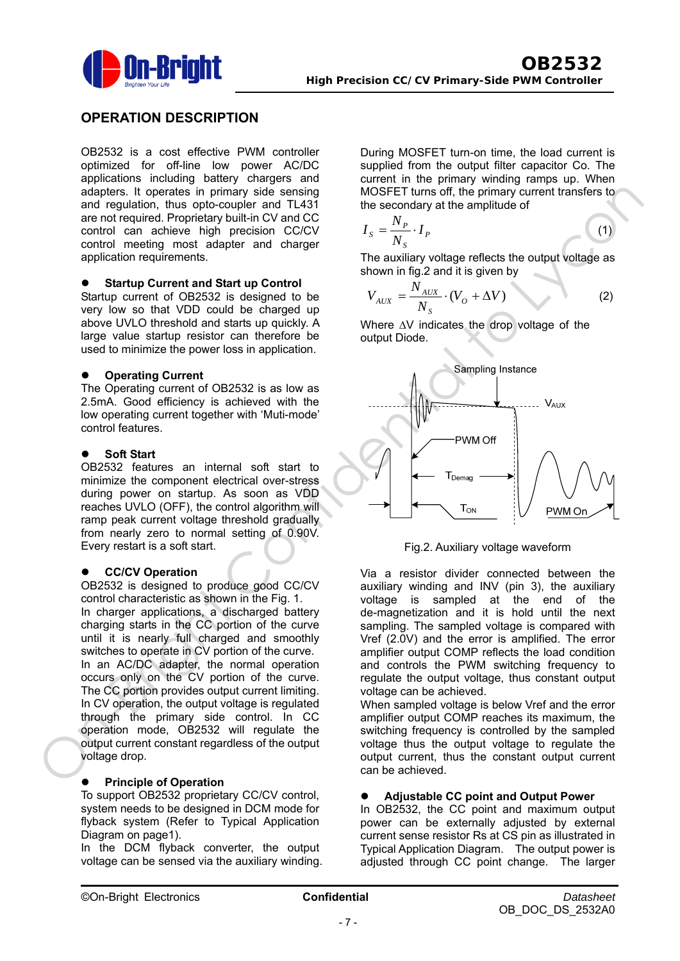

## **OPERATION DESCRIPTION**

OB2532 is a cost effective PWM controller optimized for off-line low power AC/DC applications including battery chargers and adapters. It operates in primary side sensing and regulation, thus opto-coupler and TL431 are not required. Proprietary built-in CV and CC control can achieve high precision CC/CV control meeting most adapter and charger application requirements.

### **•** Startup Current and Start up Control

Startup current of OB2532 is designed to be very low so that VDD could be charged up above UVLO threshold and starts up quickly. A large value startup resistor can therefore be used to minimize the power loss in application.

#### **Operating Current**

The Operating current of OB2532 is as low as 2.5mA. Good efficiency is achieved with the low operating current together with 'Muti-mode' control features.

#### **Soft Start**

OB2532 features an internal soft start to minimize the component electrical over-stress during power on startup. As soon as VDD reaches UVLO (OFF), the control algorithm will ramp peak current voltage threshold gradually from nearly zero to normal setting of 0.90V. Every restart is a soft start.

### z **CC/CV Operation**

OB2532 is designed to produce good CC/CV control characteristic as shown in the Fig. 1. In charger applications, a discharged battery charging starts in the CC portion of the curve until it is nearly full charged and smoothly switches to operate in CV portion of the curve. In an AC/DC adapter, the normal operation occurs only on the CV portion of the curve. The CC portion provides output current limiting. In CV operation, the output voltage is regulated through the primary side control. In CC operation mode, OB2532 will regulate the output current constant regardless of the output voltage drop.

#### ľ **Principle of Operation**

To support OB2532 proprietary CC/CV control, system needs to be designed in DCM mode for flyback system (Refer to Typical Application Diagram on page1).

In the DCM flyback converter, the output voltage can be sensed via the auxiliary winding. During MOSFET turn-on time, the load current is supplied from the output filter capacitor Co. The current in the primary winding ramps up. When MOSFET turns off, the primary current transfers to the secondary at the amplitude of

$$
I_{S} = \frac{N_{P}}{N_{S}} \cdot I_{P}
$$
 (1)

The auxiliary voltage reflects the output voltage as shown in fig.2 and it is given by

$$
V_{AUX} = \frac{N_{AUX}}{N_S} \cdot (V_O + \Delta V)
$$
 (2)

Where ΔV indicates the drop voltage of the output Diode.



Fig.2. Auxiliary voltage waveform

Via a resistor divider connected between the auxiliary winding and INV (pin 3), the auxiliary voltage is sampled at the end of the de-magnetization and it is hold until the next sampling. The sampled voltage is compared with Vref (2.0V) and the error is amplified. The error amplifier output COMP reflects the load condition and controls the PWM switching frequency to regulate the output voltage, thus constant output voltage can be achieved.

When sampled voltage is below Vref and the error amplifier output COMP reaches its maximum, the switching frequency is controlled by the sampled voltage thus the output voltage to regulate the output current, thus the constant output current can be achieved.

### **•** Adjustable CC point and Output Power

In OB2532, the CC point and maximum output power can be externally adjusted by external current sense resistor Rs at CS pin as illustrated in Typical Application Diagram. The output power is adjusted through CC point change. The larger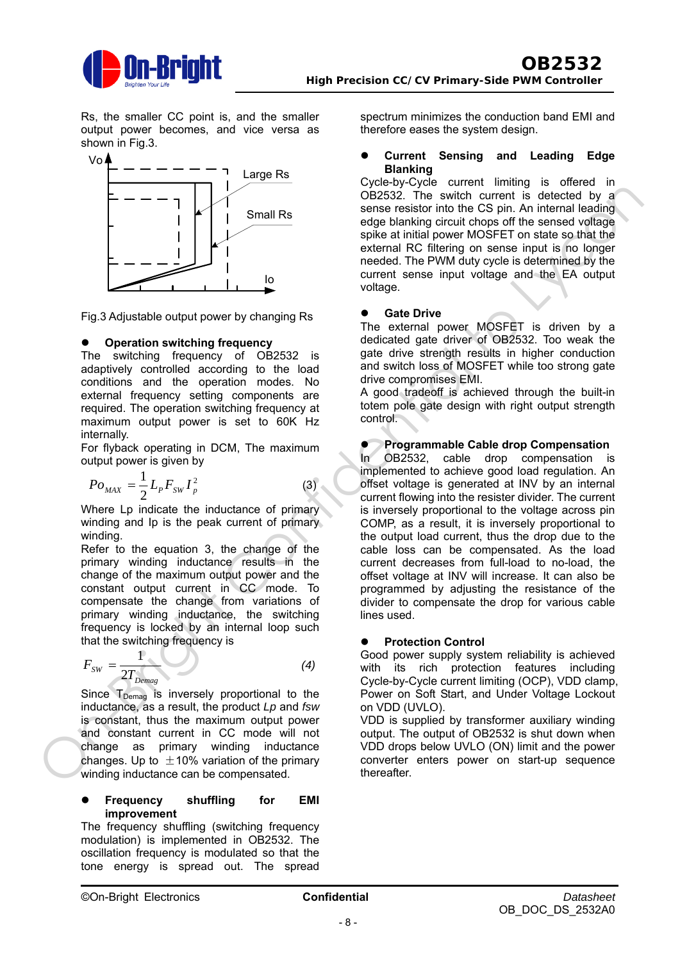

Rs, the smaller CC point is, and the smaller output power becomes, and vice versa as shown in Fig.3.



Fig.3 Adjustable output power by changing Rs

### **Operation switching frequency**

The switching frequency of OB2532 is adaptively controlled according to the load conditions and the operation modes. No external frequency setting components are required. The operation switching frequency at maximum output power is set to 60K Hz internally.

For flyback operating in DCM, The maximum output power is given by

$$
P_{O_{MAX}} = \frac{1}{2} L_p F_{SW} I_p^2
$$
 (3)

Where Lp indicate the inductance of primary winding and Ip is the peak current of primary winding.

Refer to the equation 3, the change of the primary winding inductance results in the change of the maximum output power and the constant output current in CC mode. To compensate the change from variations of primary winding inductance, the switching frequency is locked by an internal loop such that the switching frequency is

$$
F_{SW} = \frac{1}{2T_{Demag}}
$$
 (4)

Since  $T_{Demaa}$  is inversely proportional to the inductance, as a result, the product *Lp* and *fsw* is constant, thus the maximum output power and constant current in CC mode will not change as primary winding inductance changes. Up to  $\pm$ 10% variation of the primary winding inductance can be compensated.

#### **Frequency shuffling for EMI improvement**

The frequency shuffling (switching frequency modulation) is implemented in OB2532. The oscillation frequency is modulated so that the tone energy is spread out. The spread spectrum minimizes the conduction band EMI and therefore eases the system design.

#### **Current Sensing and Leading Edge Blanking**

Cycle-by-Cycle current limiting is offered in OB2532. The switch current is detected by a sense resistor into the CS pin. An internal leading edge blanking circuit chops off the sensed voltage spike at initial power MOSFET on state so that the external RC filtering on sense input is no longer needed. The PWM duty cycle is determined by the current sense input voltage and the EA output voltage.

#### **Gate Drive**

The external power MOSFET is driven by a dedicated gate driver of OB2532. Too weak the gate drive strength results in higher conduction and switch loss of MOSFET while too strong gate drive compromises EMI.

A good tradeoff is achieved through the built-in totem pole gate design with right output strength control.

#### **Programmable Cable drop Compensation**

In OB2532, cable drop compensation is implemented to achieve good load regulation. An offset voltage is generated at INV by an internal current flowing into the resister divider. The current is inversely proportional to the voltage across pin COMP, as a result, it is inversely proportional to the output load current, thus the drop due to the cable loss can be compensated. As the load current decreases from full-load to no-load, the offset voltage at INV will increase. It can also be programmed by adjusting the resistance of the divider to compensate the drop for various cable lines used. **Example 19**<br>  $P_{0 \text{ vir}} = \frac{1}{2}I_{\nu}V_{\nu}V_{\nu}^2$ <br>
(a) consider the change blanding creation (in the case of the sense in the sense that a power MOSS FET on starts and values of the sense in the sense in the properties of

### **Protection Control**

Good power supply system reliability is achieved with its rich protection features including Cycle-by-Cycle current limiting (OCP), VDD clamp, Power on Soft Start, and Under Voltage Lockout on VDD (UVLO).

VDD is supplied by transformer auxiliary winding output. The output of OB2532 is shut down when VDD drops below UVLO (ON) limit and the power converter enters power on start-up sequence thereafter.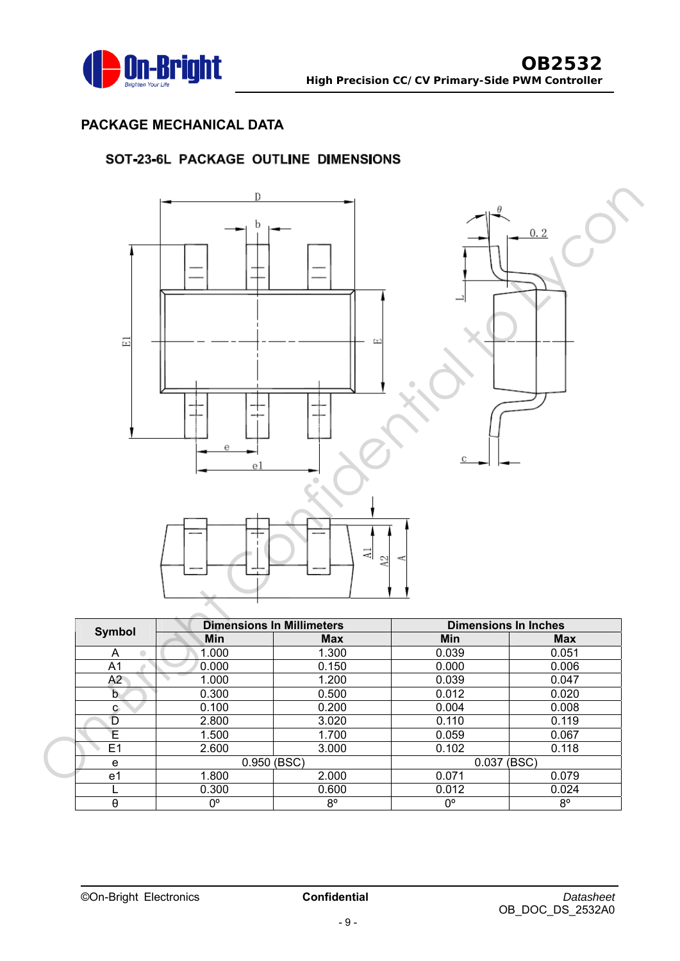

# **PACKAGE MECHANICAL DATA**

## SOT-23-6L PACKAGE OUTLINE DIMENSIONS



| <b>Symbol</b>  |                | <b>Dimensions In Millimeters</b> | <b>Dimensions In Inches</b> |             |  |
|----------------|----------------|----------------------------------|-----------------------------|-------------|--|
|                | Min            | <b>Max</b>                       | Min                         | <b>Max</b>  |  |
| A<br>$\bullet$ | 1.000          | 1.300                            | 0.039                       | 0.051       |  |
| A1             | 0.000          | 0.150                            | 0.000                       | 0.006       |  |
| A2             | 1.000          | 1.200                            | 0.039                       | 0.047       |  |
| b              | 0.300          | 0.500                            | 0.012                       | 0.020       |  |
| c.             | 0.100          | 0.200                            | 0.004                       | 0.008       |  |
| D              | 2.800          | 3.020                            | 0.110                       | 0.119       |  |
| Ε              | 1.500          | 1.700                            | 0.059                       | 0.067       |  |
| E <sub>1</sub> | 2.600<br>3.000 |                                  | 0.102                       | 0.118       |  |
| e              | 0.950 (BSC)    |                                  | 0.037 (BSC)                 |             |  |
| e1             | 1.800          | 2.000                            | 0.071                       | 0.079       |  |
|                | 0.300          | 0.600                            | 0.012                       | 0.024       |  |
| $\theta$       | $0^{\circ}$    | $8^{\circ}$                      | $0^{\circ}$                 | $8^{\circ}$ |  |